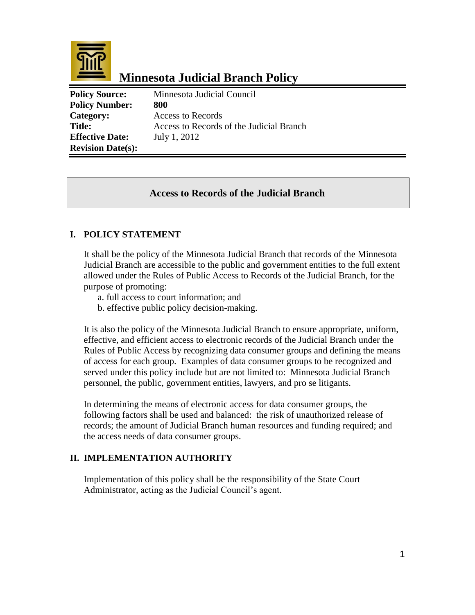

# **Minnesota Judicial Branch Policy**

**Policy Source:** Minnesota Judicial Council Policy Number: 800 **Category:** Access to Records **Title:** Access to Records of the Judicial Branch **Effective Date:** July 1, 2012 **Revision Date(s):**

### **Access to Records of the Judicial Branch**

### **I. POLICY STATEMENT**

It shall be the policy of the Minnesota Judicial Branch that records of the Minnesota Judicial Branch are accessible to the public and government entities to the full extent allowed under the Rules of Public Access to Records of the Judicial Branch, for the purpose of promoting:

- a. full access to court information; and
- b. effective public policy decision-making.

It is also the policy of the Minnesota Judicial Branch to ensure appropriate, uniform, effective, and efficient access to electronic records of the Judicial Branch under the Rules of Public Access by recognizing data consumer groups and defining the means of access for each group. Examples of data consumer groups to be recognized and served under this policy include but are not limited to: Minnesota Judicial Branch personnel, the public, government entities, lawyers, and pro se litigants.

In determining the means of electronic access for data consumer groups, the following factors shall be used and balanced: the risk of unauthorized release of records; the amount of Judicial Branch human resources and funding required; and the access needs of data consumer groups.

#### **II. IMPLEMENTATION AUTHORITY**

Implementation of this policy shall be the responsibility of the State Court Administrator, acting as the Judicial Council's agent.